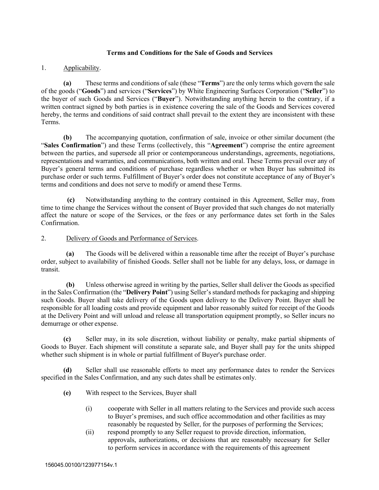## **Terms and Conditions for the Sale of Goods and Services**

# 1. Applicability.

**(a)** These terms and conditions of sale (these "**Terms**") are the only terms which govern the sale of the goods ("**Goods**") and services ("**Services**") by White Engineering Surfaces Corporation ("**Seller**") to the buyer of such Goods and Services ("**Buyer**"). Notwithstanding anything herein to the contrary, if a written contract signed by both parties is in existence covering the sale of the Goods and Services covered hereby, the terms and conditions of said contract shall prevail to the extent they are inconsistent with these Terms.

**(b)** The accompanying quotation, confirmation of sale, invoice or other similar document (the "**Sales Confirmation**") and these Terms (collectively, this "**Agreement**") comprise the entire agreement between the parties, and supersede all prior or contemporaneous understandings, agreements, negotiations, representations and warranties, and communications, both written and oral. These Terms prevail over any of Buyer's general terms and conditions of purchase regardless whether or when Buyer has submitted its purchase order or such terms. Fulfillment of Buyer's order does not constitute acceptance of any of Buyer's terms and conditions and does not serve to modify or amend these Terms.

**(c)** Notwithstanding anything to the contrary contained in this Agreement, Seller may, from time to time change the Services without the consent of Buyer provided that such changes do not materially affect the nature or scope of the Services, or the fees or any performance dates set forth in the Sales Confirmation.

# 2. Delivery of Goods and Performance of Services.

**(a)** The Goods will be delivered within a reasonable time after the receipt of Buyer's purchase order, subject to availability of finished Goods. Seller shall not be liable for any delays, loss, or damage in transit.

**(b)** Unless otherwise agreed in writing by the parties, Seller shall deliver the Goods as specified in the Sales Confirmation (the "**Delivery Point**") using Seller's standard methods for packaging and shipping such Goods. Buyer shall take delivery of the Goods upon delivery to the Delivery Point. Buyer shall be responsible for all loading costs and provide equipment and labor reasonably suited for receipt of the Goods at the Delivery Point and will unload and release all transportation equipment promptly, so Seller incurs no demurrage or other expense.

**(c)** Seller may, in its sole discretion, without liability or penalty, make partial shipments of Goods to Buyer. Each shipment will constitute a separate sale, and Buyer shall pay for the units shipped whether such shipment is in whole or partial fulfillment of Buyer's purchase order.

**(d)** Seller shall use reasonable efforts to meet any performance dates to render the Services specified in the Sales Confirmation, and any such dates shall be estimates only.

- **(e)** With respect to the Services, Buyer shall
	- (i) cooperate with Seller in all matters relating to the Services and provide such access to Buyer's premises, and such office accommodation and other facilities as may reasonably be requested by Seller, for the purposes of performing the Services;
	- (ii) respond promptly to any Seller request to provide direction, information, approvals, authorizations, or decisions that are reasonably necessary for Seller to perform services in accordance with the requirements of this agreement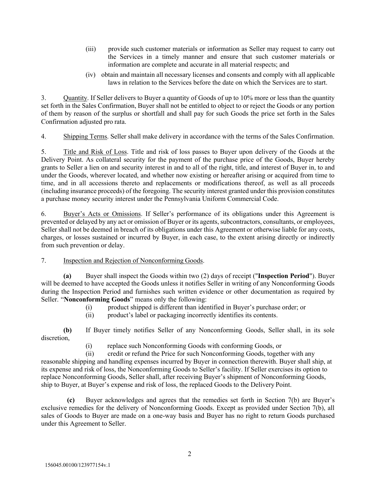- (iii) provide such customer materials or information as Seller may request to carry out the Services in a timely manner and ensure that such customer materials or information are complete and accurate in all material respects; and
- (iv) obtain and maintain all necessary licenses and consents and comply with all applicable laws in relation to the Services before the date on which the Services are to start.

3. Quantity. If Seller delivers to Buyer a quantity of Goods of up to 10% more or less than the quantity set forth in the Sales Confirmation, Buyer shall not be entitled to object to or reject the Goods or any portion of them by reason of the surplus or shortfall and shall pay for such Goods the price set forth in the Sales Confirmation adjusted pro rata.

4. Shipping Terms. Seller shall make delivery in accordance with the terms of the Sales Confirmation.

5. Title and Risk of Loss. Title and risk of loss passes to Buyer upon delivery of the Goods at the Delivery Point. As collateral security for the payment of the purchase price of the Goods, Buyer hereby grants to Seller a lien on and security interest in and to all of the right, title, and interest of Buyer in, to and under the Goods, wherever located, and whether now existing or hereafter arising or acquired from time to time, and in all accessions thereto and replacements or modifications thereof, as well as all proceeds (including insurance proceeds) of the foregoing. The security interest granted under this provision constitutes a purchase money security interest under the Pennsylvania Uniform Commercial Code.

6. Buyer's Acts or Omissions. If Seller's performance of its obligations under this Agreement is prevented or delayed by any act or omission of Buyer or its agents, subcontractors, consultants, or employees, Seller shall not be deemed in breach of its obligations under this Agreement or otherwise liable for any costs, charges, or losses sustained or incurred by Buyer, in each case, to the extent arising directly or indirectly from such prevention or delay.

## 7. Inspection and Rejection of Nonconforming Goods.

**(a)** Buyer shall inspect the Goods within two (2) days of receipt ("**Inspection Period**"). Buyer will be deemed to have accepted the Goods unless it notifies Seller in writing of any Nonconforming Goods during the Inspection Period and furnishes such written evidence or other documentation as required by Seller. "**Nonconforming Goods**" means only the following:

- (i) product shipped is different than identified in Buyer's purchase order; or
- (ii) product's label or packaging incorrectly identifies its contents.

**(b)** If Buyer timely notifies Seller of any Nonconforming Goods, Seller shall, in its sole discretion,

(i) replace such Nonconforming Goods with conforming Goods, or

(ii) credit or refund the Price for such Nonconforming Goods, together with any reasonable shipping and handling expenses incurred by Buyer in connection therewith. Buyer shall ship, at its expense and risk of loss, the Nonconforming Goods to Seller's facility. If Seller exercises its option to replace Nonconforming Goods, Seller shall, after receiving Buyer's shipment of Nonconforming Goods, ship to Buyer, at Buyer's expense and risk of loss, the replaced Goods to the Delivery Point.

**(c)** Buyer acknowledges and agrees that the remedies set forth in Section 7(b) are Buyer's exclusive remedies for the delivery of Nonconforming Goods. Except as provided under Section 7(b), all sales of Goods to Buyer are made on a one-way basis and Buyer has no right to return Goods purchased under this Agreement to Seller.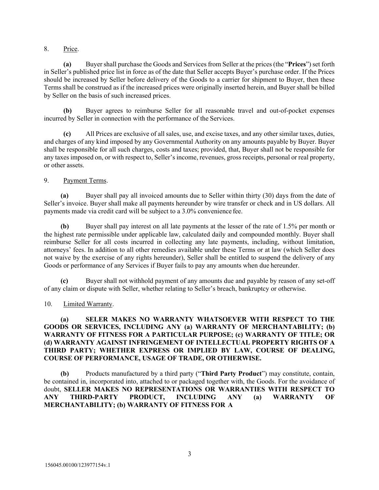## 8. Price.

**(a)** Buyer shall purchase the Goods and Services from Seller at the prices (the "**Prices**") set forth in Seller's published price list in force as of the date that Seller accepts Buyer's purchase order. If the Prices should be increased by Seller before delivery of the Goods to a carrier for shipment to Buyer, then these Terms shall be construed as if the increased prices were originally inserted herein, and Buyer shall be billed by Seller on the basis of such increased prices.

**(b)** Buyer agrees to reimburse Seller for all reasonable travel and out-of-pocket expenses incurred by Seller in connection with the performance of the Services.

**(c)** All Prices are exclusive of all sales, use, and excise taxes, and any other similar taxes, duties, and charges of any kind imposed by any Governmental Authority on any amounts payable by Buyer. Buyer shall be responsible for all such charges, costs and taxes; provided, that, Buyer shall not be responsible for any taxes imposed on, or with respect to, Seller's income, revenues, gross receipts, personal or real property, or other assets.

# 9. Payment Terms.

**(a)** Buyer shall pay all invoiced amounts due to Seller within thirty (30) days from the date of Seller's invoice. Buyer shall make all payments hereunder by wire transfer or check and in US dollars. All payments made via credit card will be subject to a 3.0% convenience fee.

**(b)** Buyer shall pay interest on all late payments at the lesser of the rate of 1.5% per month or the highest rate permissible under applicable law, calculated daily and compounded monthly. Buyer shall reimburse Seller for all costs incurred in collecting any late payments, including, without limitation, attorneys' fees. In addition to all other remedies available under these Terms or at law (which Seller does not waive by the exercise of any rights hereunder), Seller shall be entitled to suspend the delivery of any Goods or performance of any Services if Buyer fails to pay any amounts when due hereunder.

**(c)** Buyer shall not withhold payment of any amounts due and payable by reason of any set-off of any claim or dispute with Seller, whether relating to Seller's breach, bankruptcy or otherwise.

## 10. Limited Warranty.

## **(a) SELER MAKES NO WARRANTY WHATSOEVER WITH RESPECT TO THE GOODS OR SERVICES, INCLUDING ANY (a) WARRANTY OF MERCHANTABILITY; (b) WARRANTY OF FITNESS FOR A PARTICULAR PURPOSE; (c) WARRANTY OF TITLE; OR (d) WARRANTY AGAINST INFRINGEMENT OF INTELLECTUAL PROPERTY RIGHTS OF A THIRD PARTY; WHETHER EXPRESS OR IMPLIED BY LAW, COURSE OF DEALING, COURSE OF PERFORMANCE, USAGE OF TRADE, OR OTHERWISE.**

**(b)** Products manufactured by a third party ("**Third Party Product**") may constitute, contain, be contained in, incorporated into, attached to or packaged together with, the Goods. For the avoidance of doubt, **SELLER MAKES NO REPRESENTATIONS OR WARRANTIES WITH RESPECT TO ANY THIRD-PARTY PRODUCT, INCLUDING ANY (a) WARRANTY OF MERCHANTABILITY; (b) WARRANTY OF FITNESS FOR A**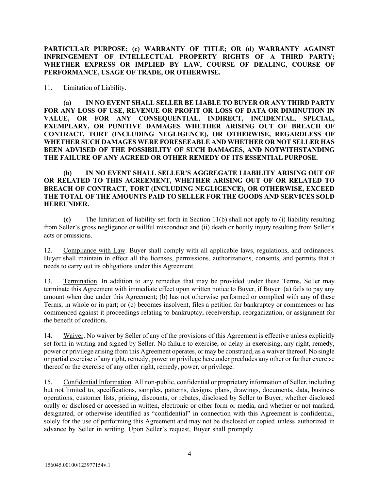**PARTICULAR PURPOSE; (c) WARRANTY OF TITLE; OR (d) WARRANTY AGAINST INFRINGEMENT OF INTELLECTUAL PROPERTY RIGHTS OF A THIRD PARTY; WHETHER EXPRESS OR IMPLIED BY LAW, COURSE OF DEALING, COURSE OF PERFORMANCE, USAGE OF TRADE, OR OTHERWISE.**

#### 11. Limitation of Liability.

**(a) IN NO EVENT SHALL SELLER BE LIABLE TO BUYER OR ANY THIRD PARTY FOR ANY LOSS OF USE, REVENUE OR PROFIT OR LOSS OF DATA OR DIMINUTION IN VALUE, OR FOR ANY CONSEQUENTIAL, INDIRECT, INCIDENTAL, SPECIAL, EXEMPLARY, OR PUNITIVE DAMAGES WHETHER ARISING OUT OF BREACH OF CONTRACT, TORT (INCLUDING NEGLIGENCE), OR OTHERWISE, REGARDLESS OF WHETHER SUCH DAMAGES WERE FORESEEABLE AND WHETHER OR NOT SELLER HAS BEEN ADVISED OF THE POSSIBILITY OF SUCH DAMAGES, AND NOTWITHSTANDING THE FAILURE OF ANY AGREED OR OTHER REMEDY OF ITS ESSENTIAL PURPOSE.**

## **(b) IN NO EVENT SHALL SELLER'S AGGREGATE LIABILITY ARISING OUT OF OR RELATED TO THIS AGREEMENT, WHETHER ARISING OUT OF OR RELATED TO BREACH OF CONTRACT, TORT (INCLUDING NEGLIGENCE), OR OTHERWISE, EXCEED THE TOTAL OF THE AMOUNTS PAID TO SELLER FOR THE GOODS AND SERVICES SOLD HEREUNDER.**

**(c)** The limitation of liability set forth in Section 11(b) shall not apply to (i) liability resulting from Seller's gross negligence or willful misconduct and (ii) death or bodily injury resulting from Seller's acts or omissions.

12. Compliance with Law. Buyer shall comply with all applicable laws, regulations, and ordinances. Buyer shall maintain in effect all the licenses, permissions, authorizations, consents, and permits that it needs to carry out its obligations under this Agreement.

13. Termination. In addition to any remedies that may be provided under these Terms, Seller may terminate this Agreement with immediate effect upon written notice to Buyer, if Buyer: (a) fails to pay any amount when due under this Agreement; (b) has not otherwise performed or complied with any of these Terms, in whole or in part; or (c) becomes insolvent, files a petition for bankruptcy or commences or has commenced against it proceedings relating to bankruptcy, receivership, reorganization, or assignment for the benefit of creditors.

14. Waiver. No waiver by Seller of any of the provisions of this Agreement is effective unless explicitly set forth in writing and signed by Seller. No failure to exercise, or delay in exercising, any right, remedy, power or privilege arising from this Agreement operates, or may be construed, as a waiver thereof. No single or partial exercise of any right, remedy, power or privilege hereunder precludes any other or further exercise thereof or the exercise of any other right, remedy, power, or privilege.

15. Confidential Information. All non-public, confidential or proprietary information of Seller, including but not limited to, specifications, samples, patterns, designs, plans, drawings, documents, data, business operations, customer lists, pricing, discounts, or rebates, disclosed by Seller to Buyer, whether disclosed orally or disclosed or accessed in written, electronic or other form or media, and whether or not marked, designated, or otherwise identified as "confidential" in connection with this Agreement is confidential, solely for the use of performing this Agreement and may not be disclosed or copied unless authorized in advance by Seller in writing. Upon Seller's request, Buyer shall promptly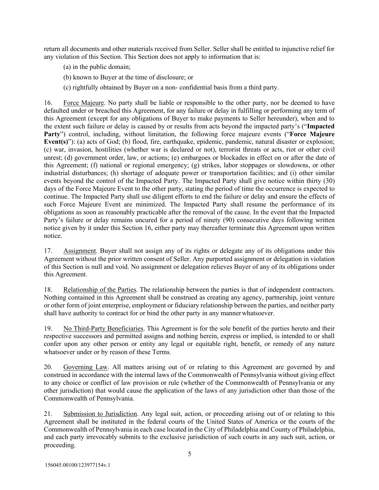return all documents and other materials received from Seller. Seller shall be entitled to injunctive relief for any violation of this Section. This Section does not apply to information that is:

- (a) in the public domain;
- (b) known to Buyer at the time of disclosure; or
- (c) rightfully obtained by Buyer on a non- confidential basis from a third party.

16. Force Majeure. No party shall be liable or responsible to the other party, nor be deemed to have defaulted under or breached this Agreement, for any failure or delay in fulfilling or performing any term of this Agreement (except for any obligations of Buyer to make payments to Seller hereunder), when and to the extent such failure or delay is caused by or results from acts beyond the impacted party's ("**Impacted Party**") control, including, without limitation, the following force majeure events ("**Force Majeure Event(s)**"): (a) acts of God; (b) flood, fire, earthquake, epidemic, pandemic, natural disaster or explosion; (c) war, invasion, hostilities (whether war is declared or not), terrorist threats or acts, riot or other civil unrest; (d) government order, law, or actions; (e) embargoes or blockades in effect on or after the date of this Agreement; (f) national or regional emergency; (g) strikes, labor stoppages or slowdowns, or other industrial disturbances; (h) shortage of adequate power or transportation facilities; and (i) other similar events beyond the control of the Impacted Party. The Impacted Party shall give notice within thirty (30) days of the Force Majeure Event to the other party, stating the period of time the occurrence is expected to continue. The Impacted Party shall use diligent efforts to end the failure or delay and ensure the effects of such Force Majeure Event are minimized. The Impacted Party shall resume the performance of its obligations as soon as reasonably practicable after the removal of the cause. In the event that the Impacted Party's failure or delay remains uncured for a period of ninety (90) consecutive days following written notice given by it under this Section 16, either party may thereafter terminate this Agreement upon written notice.

17. Assignment. Buyer shall not assign any of its rights or delegate any of its obligations under this Agreement without the prior written consent of Seller. Any purported assignment or delegation in violation of this Section is null and void. No assignment or delegation relieves Buyer of any of its obligations under this Agreement.

18. Relationship of the Parties. The relationship between the parties is that of independent contractors. Nothing contained in this Agreement shall be construed as creating any agency, partnership, joint venture or other form of joint enterprise, employment or fiduciary relationship between the parties, and neither party shall have authority to contract for or bind the other party in any mannerwhatsoever.

19. No Third-Party Beneficiaries. This Agreement is for the sole benefit of the parties hereto and their respective successors and permitted assigns and nothing herein, express or implied, is intended to or shall confer upon any other person or entity any legal or equitable right, benefit, or remedy of any nature whatsoever under or by reason of these Terms.

20. Governing Law. All matters arising out of or relating to this Agreement are governed by and construed in accordance with the internal laws of the Commonwealth of Pennsylvania without giving effect to any choice or conflict of law provision or rule (whether of the Commonwealth of Pennsylvania or any other jurisdiction) that would cause the application of the laws of any jurisdiction other than those of the Commonwealth of Pennsylvania.

21. Submission to Jurisdiction. Any legal suit, action, or proceeding arising out of or relating to this Agreement shall be instituted in the federal courts of the United States of America or the courts of the Commonwealth of Pennsylvania in each case located in the City of Philadelphia and County of Philadelphia, and each party irrevocably submits to the exclusive jurisdiction of such courts in any such suit, action, or proceeding.